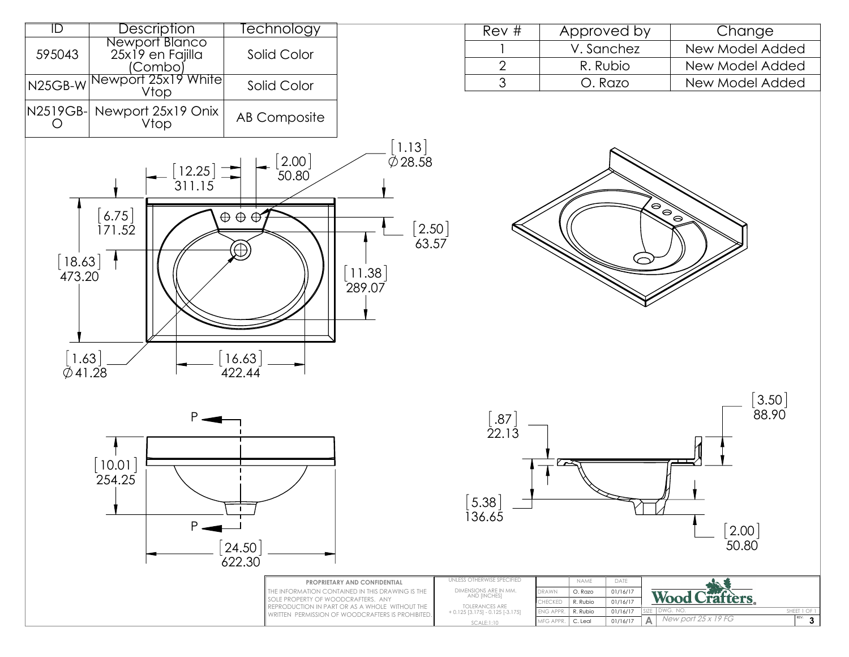